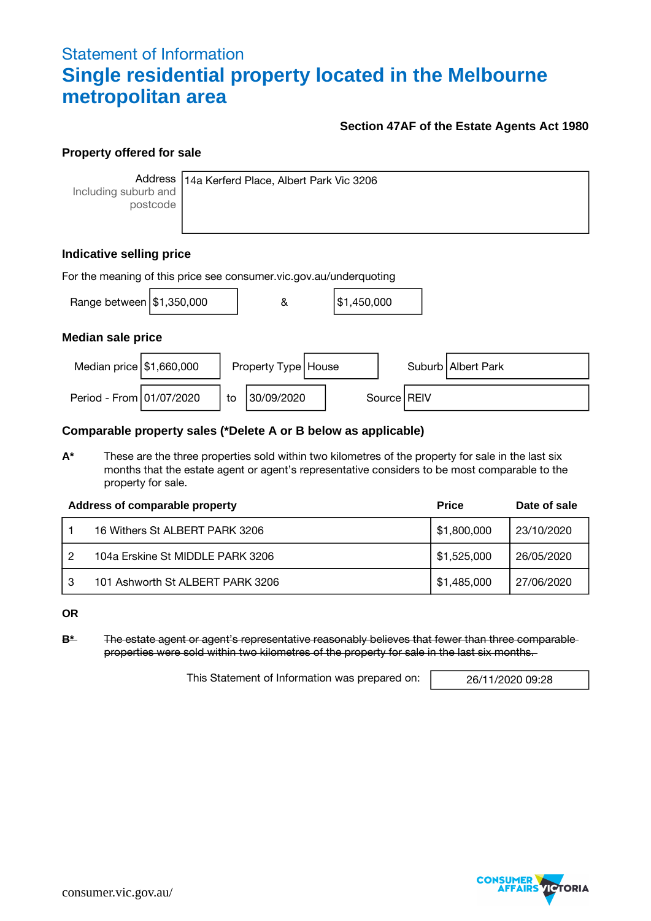# Statement of Information **Single residential property located in the Melbourne metropolitan area**

## **Section 47AF of the Estate Agents Act 1980**

## **Property offered for sale**

**Address** Including suburb and postcode

14a Kerferd Place, Albert Park Vic 3206

# **Indicative selling price**

| For the meaning of this price see consumer vic gov au/underquoting |  |    |                       |  |             |  |               |                      |
|--------------------------------------------------------------------|--|----|-----------------------|--|-------------|--|---------------|----------------------|
| Range between   \$1,350,000                                        |  |    | &                     |  | \$1,450,000 |  |               |                      |
| <b>Median sale price</b>                                           |  |    |                       |  |             |  |               |                      |
| Median price $\frac{151,660,000}{5}$                               |  |    | Property Type   House |  |             |  |               | Suburb   Albert Park |
| Period - From 01/07/2020                                           |  | to | 30/09/2020            |  |             |  | Source   REIV |                      |

#### **Comparable property sales (\*Delete A or B below as applicable)**

**A\*** These are the three properties sold within two kilometres of the property for sale in the last six months that the estate agent or agent's representative considers to be most comparable to the property for sale.

|   | Address of comparable property   | <b>Price</b> | Date of sale |
|---|----------------------------------|--------------|--------------|
|   | 16 Withers St ALBERT PARK 3206   | \$1,800,000  | 23/10/2020   |
|   | 104a Erskine St MIDDLE PARK 3206 | \$1,525,000  | 26/05/2020   |
| 3 | 101 Ashworth St ALBERT PARK 3206 | \$1,485,000  | 27/06/2020   |

**OR**

**B\*** The estate agent or agent's representative reasonably believes that fewer than three comparable properties were sold within two kilometres of the property for sale in the last six months.

This Statement of Information was prepared on: | 26/11/2020 09:28